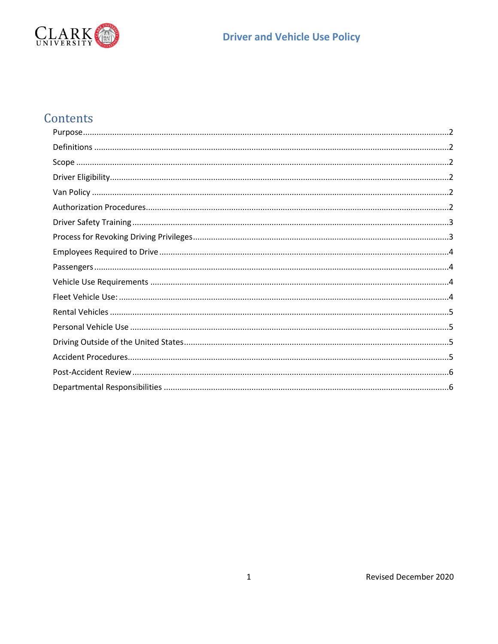

# **Driver and Vehicle Use Policy**

# Contents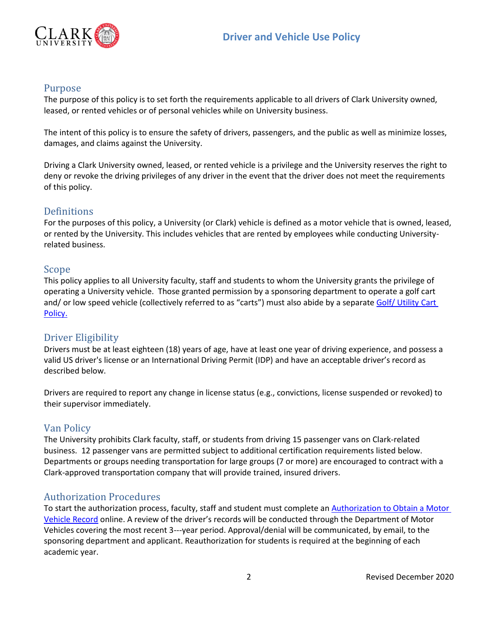

### <span id="page-1-0"></span>Purpose

The purpose of this policy is to set forth the requirements applicable to all drivers of Clark University owned, leased, or rented vehicles or of personal vehicles while on University business.

The intent of this policy is to ensure the safety of drivers, passengers, and the public as well as minimize losses, damages, and claims against the University.

Driving a Clark University owned, leased, or rented vehicle is a privilege and the University reserves the right to deny or revoke the driving privileges of any driver in the event that the driver does not meet the requirements of this policy.

## <span id="page-1-1"></span>Definitions

For the purposes of this policy, a University (or Clark) vehicle is defined as a motor vehicle that is owned, leased, or rented by the University. This includes vehicles that are rented by employees while conducting Universityrelated business.

#### <span id="page-1-2"></span>Scope

This policy applies to all University faculty, staff and students to whom the University grants the privilege of operating a University vehicle. Those granted permission by a sponsoring department to operate a golf cart and/ or low speed vehicle (collectively referred to as "carts") must also abide by a separate Golf/ Utility Cart [Policy.](https://www.clarku.edu/offices/risk-management/sample-page/clark-golf-cart-policy-revised-2020/)

#### <span id="page-1-3"></span>Driver Eligibility

Drivers must be at least eighteen (18) years of age, have at least one year of driving experience, and possess a valid US driver's license or an International Driving Permit (IDP) and have an acceptable driver's record as described below.

Drivers are required to report any change in license status (e.g., convictions, license suspended or revoked) to their supervisor immediately.

#### <span id="page-1-4"></span>Van Policy

The University prohibits Clark faculty, staff, or students from driving 15 passenger vans on Clark-related business. 12 passenger vans are permitted subject to additional certification requirements listed below. Departments or groups needing transportation for large groups (7 or more) are encouraged to contract with a Clark-approved transportation company that will provide trained, insured drivers.

#### <span id="page-1-5"></span>Authorization Procedures

To start the authorization process, faculty, staff and student must complete a[n Authorization to Obtain a Motor](https://forms.office.com/Pages/ResponsePage.aspx?id=PSaytapoPkW5cqoUIUEPgPbfMG7oFM9Nsxpi2gB7afdUQUxHWEU2R1FVMjlXTVlLNTY4TTRMTk5KVy4u)  [Vehicle Record](https://forms.office.com/Pages/ResponsePage.aspx?id=PSaytapoPkW5cqoUIUEPgPbfMG7oFM9Nsxpi2gB7afdUQUxHWEU2R1FVMjlXTVlLNTY4TTRMTk5KVy4u) online. A review of the driver's records will be conducted through the Department of Motor Vehicles covering the most recent 3---year period. Approval/denial will be communicated, by email, to the sponsoring department and applicant. Reauthorization for students is required at the beginning of each academic year.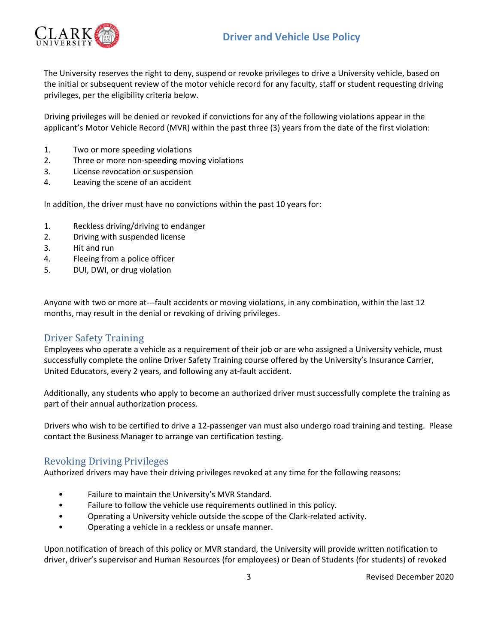## **Driver and Vehicle Use Policy**



The University reserves the right to deny, suspend or revoke privileges to drive a University vehicle, based on the initial or subsequent review of the motor vehicle record for any faculty, staff or student requesting driving privileges, per the eligibility criteria below.

Driving privileges will be denied or revoked if convictions for any of the following violations appear in the applicant's Motor Vehicle Record (MVR) within the past three (3) years from the date of the first violation:

- 1. Two or more speeding violations
- 2. Three or more non-speeding moving violations
- 3. License revocation or suspension
- 4. Leaving the scene of an accident

In addition, the driver must have no convictions within the past 10 years for:

- 1. Reckless driving/driving to endanger
- 2. Driving with suspended license
- 3. Hit and run
- 4. Fleeing from a police officer
- 5. DUI, DWI, or drug violation

Anyone with two or more at---fault accidents or moving violations, in any combination, within the last 12 months, may result in the denial or revoking of driving privileges.

#### <span id="page-2-0"></span>Driver Safety Training

Employees who operate a vehicle as a requirement of their job or are who assigned a University vehicle, must successfully complete the online Driver Safety Training course offered by the University's Insurance Carrier, United Educators, every 2 years, and following any at-fault accident.

Additionally, any students who apply to become an authorized driver must successfully complete the training as part of their annual authorization process.

Drivers who wish to be certified to drive a 12-passenger van must also undergo road training and testing. Please contact the Business Manager to arrange van certification testing.

#### <span id="page-2-1"></span>Revoking Driving Privileges

Authorized drivers may have their driving privileges revoked at any time for the following reasons:

- Failure to maintain the University's MVR Standard.
- Failure to follow the vehicle use requirements outlined in this policy.
- Operating a University vehicle outside the scope of the Clark-related activity.
- Operating a vehicle in a reckless or unsafe manner.

Upon notification of breach of this policy or MVR standard, the University will provide written notification to driver, driver's supervisor and Human Resources (for employees) or Dean of Students (for students) of revoked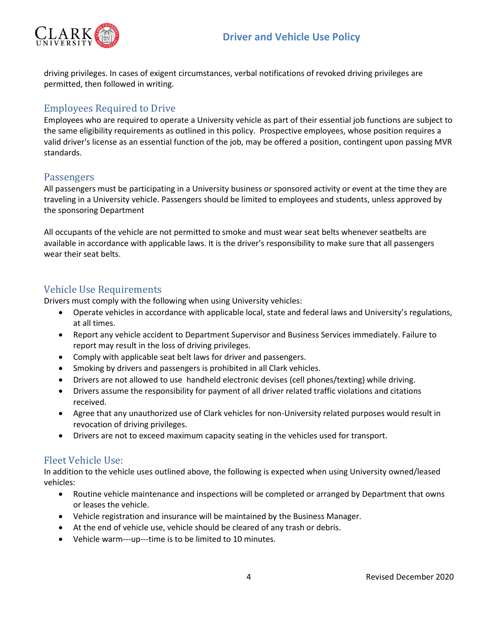

driving privileges. In cases of exigent circumstances, verbal notifications of revoked driving privileges are permitted, then followed in writing.

#### <span id="page-3-0"></span>Employees Required to Drive

Employees who are required to operate a University vehicle as part of their essential job functions are subject to the same eligibility requirements as outlined in this policy. Prospective employees, whose position requires a valid driver's license as an essential function of the job, may be offered a position, contingent upon passing MVR standards.

#### <span id="page-3-1"></span>**Passengers**

All passengers must be participating in a University business or sponsored activity or event at the time they are traveling in a University vehicle. Passengers should be limited to employees and students, unless approved by the sponsoring Department

All occupants of the vehicle are not permitted to smoke and must wear seat belts whenever seatbelts are available in accordance with applicable laws. It is the driver's responsibility to make sure that all passengers wear their seat belts.

## <span id="page-3-2"></span>Vehicle Use Requirements

Drivers must comply with the following when using University vehicles:

- Operate vehicles in accordance with applicable local, state and federal laws and University's regulations, at all times.
- Report any vehicle accident to Department Supervisor and Business Services immediately. Failure to report may result in the loss of driving privileges.
- Comply with applicable seat belt laws for driver and passengers.
- Smoking by drivers and passengers is prohibited in all Clark vehicles.
- Drivers are not allowed to use handheld electronic devises (cell phones/texting) while driving.
- Drivers assume the responsibility for payment of all driver related traffic violations and citations received.
- Agree that any unauthorized use of Clark vehicles for non-University related purposes would result in revocation of driving privileges.
- Drivers are not to exceed maximum capacity seating in the vehicles used for transport.

## <span id="page-3-3"></span>Fleet Vehicle Use:

In addition to the vehicle uses outlined above, the following is expected when using University owned/leased vehicles:

- Routine vehicle maintenance and inspections will be completed or arranged by Department that owns or leases the vehicle.
- Vehicle registration and insurance will be maintained by the Business Manager.
- At the end of vehicle use, vehicle should be cleared of any trash or debris.
- Vehicle warm---up---time is to be limited to 10 minutes.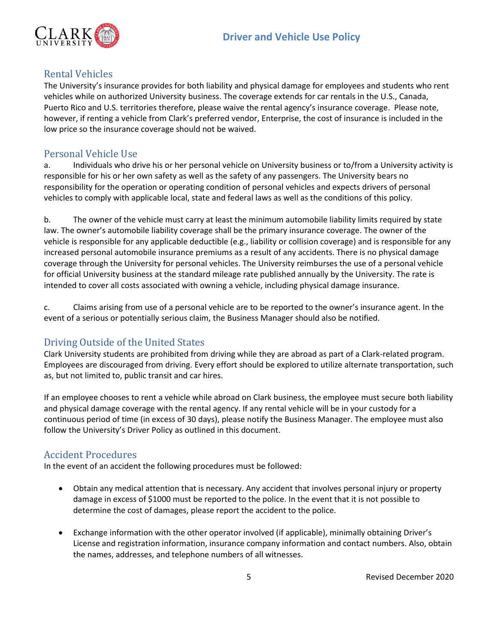

## <span id="page-4-0"></span>Rental Vehicles

The University's insurance provides for both liability and physical damage for employees and students who rent vehicles while on authorized University business. The coverage extends for car rentals in the U.S., Canada, Puerto Rico and U.S. territories therefore, please waive the rental agency's insurance coverage. Please note, however, if renting a vehicle from Clark's preferred vendor, Enterprise, the cost of insurance is included in the low price so the insurance coverage should not be waived.

## <span id="page-4-1"></span>Personal Vehicle Use

a. Individuals who drive his or her personal vehicle on University business or to/from a University activity is responsible for his or her own safety as well as the safety of any passengers. The University bears no responsibility for the operation or operating condition of personal vehicles and expects drivers of personal vehicles to comply with applicable local, state and federal laws as well as the conditions of this policy.

b. The owner of the vehicle must carry at least the minimum automobile liability limits required by state law. The owner's automobile liability coverage shall be the primary insurance coverage. The owner of the vehicle is responsible for any applicable deductible (e.g., liability or collision coverage) and is responsible for any increased personal automobile insurance premiums as a result of any accidents. There is no physical damage coverage through the University for personal vehicles. The University reimburses the use of a personal vehicle for official University business at the standard mileage rate published annually by the University. The rate is intended to cover all costs associated with owning a vehicle, including physical damage insurance.

c. Claims arising from use of a personal vehicle are to be reported to the owner's insurance agent. In the event of a serious or potentially serious claim, the Business Manager should also be notified.

## <span id="page-4-2"></span>Driving Outside of the United States

Clark University students are prohibited from driving while they are abroad as part of a Clark-related program. Employees are discouraged from driving. Every effort should be explored to utilize alternate transportation, such as, but not limited to, public transit and car hires.

If an employee chooses to rent a vehicle while abroad on Clark business, the employee must secure both liability and physical damage coverage with the rental agency. If any rental vehicle will be in your custody for a continuous period of time (in excess of 30 days), please notify the Business Manager. The employee must also follow the University's Driver Policy as outlined in this document.

## <span id="page-4-3"></span>Accident Procedures

In the event of an accident the following procedures must be followed:

- Obtain any medical attention that is necessary. Any accident that involves personal injury or property damage in excess of \$1000 must be reported to the police. In the event that it is not possible to determine the cost of damages, please report the accident to the police.
- Exchange information with the other operator involved (if applicable), minimally obtaining Driver's License and registration information, insurance company information and contact numbers. Also, obtain the names, addresses, and telephone numbers of all witnesses.